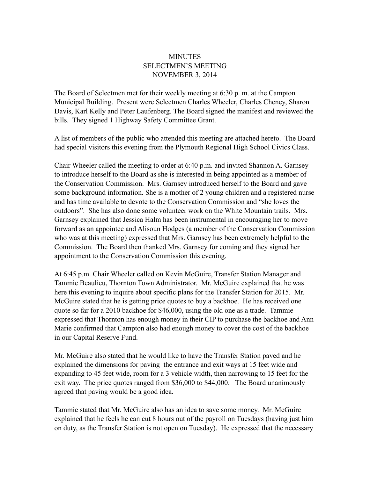## MINUTES SELECTMEN'S MEETING NOVEMBER 3, 2014

The Board of Selectmen met for their weekly meeting at 6:30 p. m. at the Campton Municipal Building. Present were Selectmen Charles Wheeler, Charles Cheney, Sharon Davis, Karl Kelly and Peter Laufenberg. The Board signed the manifest and reviewed the bills. They signed 1 Highway Safety Committee Grant.

A list of members of the public who attended this meeting are attached hereto. The Board had special visitors this evening from the Plymouth Regional High School Civics Class.

Chair Wheeler called the meeting to order at 6:40 p.m. and invited Shannon A. Garnsey to introduce herself to the Board as she is interested in being appointed as a member of the Conservation Commission. Mrs. Garnsey introduced herself to the Board and gave some background information. She is a mother of 2 young children and a registered nurse and has time available to devote to the Conservation Commission and "she loves the outdoors". She has also done some volunteer work on the White Mountain trails. Mrs. Garnsey explained that Jessica Halm has been instrumental in encouraging her to move forward as an appointee and Alisoun Hodges (a member of the Conservation Commission who was at this meeting) expressed that Mrs. Garnsey has been extremely helpful to the Commission. The Board then thanked Mrs. Garnsey for coming and they signed her appointment to the Conservation Commission this evening.

At 6:45 p.m. Chair Wheeler called on Kevin McGuire, Transfer Station Manager and Tammie Beaulieu, Thornton Town Administrator. Mr. McGuire explained that he was here this evening to inquire about specific plans for the Transfer Station for 2015. Mr. McGuire stated that he is getting price quotes to buy a backhoe. He has received one quote so far for a 2010 backhoe for \$46,000, using the old one as a trade. Tammie expressed that Thornton has enough money in their CIP to purchase the backhoe and Ann Marie confirmed that Campton also had enough money to cover the cost of the backhoe in our Capital Reserve Fund.

Mr. McGuire also stated that he would like to have the Transfer Station paved and he explained the dimensions for paving the entrance and exit ways at 15 feet wide and expanding to 45 feet wide, room for a 3 vehicle width, then narrowing to 15 feet for the exit way. The price quotes ranged from \$36,000 to \$44,000. The Board unanimously agreed that paving would be a good idea.

Tammie stated that Mr. McGuire also has an idea to save some money. Mr. McGuire explained that he feels he can cut 8 hours out of the payroll on Tuesdays (having just him on duty, as the Transfer Station is not open on Tuesday). He expressed that the necessary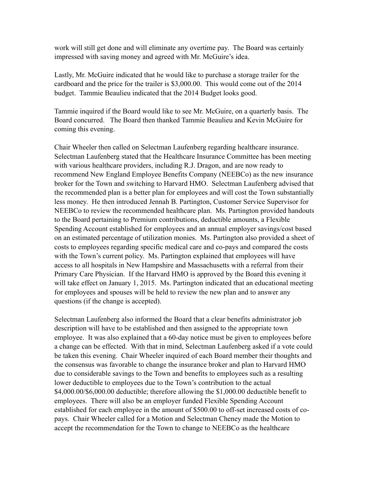work will still get done and will eliminate any overtime pay. The Board was certainly impressed with saving money and agreed with Mr. McGuire's idea.

Lastly, Mr. McGuire indicated that he would like to purchase a storage trailer for the cardboard and the price for the trailer is \$3,000.00. This would come out of the 2014 budget. Tammie Beaulieu indicated that the 2014 Budget looks good.

Tammie inquired if the Board would like to see Mr. McGuire, on a quarterly basis. The Board concurred. The Board then thanked Tammie Beaulieu and Kevin McGuire for coming this evening.

Chair Wheeler then called on Selectman Laufenberg regarding healthcare insurance. Selectman Laufenberg stated that the Healthcare Insurance Committee has been meeting with various healthcare providers, including R.J. Dragon, and are now ready to recommend New England Employee Benefits Company (NEEBCo) as the new insurance broker for the Town and switching to Harvard HMO. Selectman Laufenberg advised that the recommended plan is a better plan for employees and will cost the Town substantially less money. He then introduced Jennah B. Partington, Customer Service Supervisor for NEEBCo to review the recommended healthcare plan. Ms. Partington provided handouts to the Board pertaining to Premium contributions, deductible amounts, a Flexible Spending Account established for employees and an annual employer savings/cost based on an estimated percentage of utilization monies. Ms. Partington also provided a sheet of costs to employees regarding specific medical care and co-pays and compared the costs with the Town's current policy. Ms. Partington explained that employees will have access to all hospitals in New Hampshire and Massachusetts with a referral from their Primary Care Physician. If the Harvard HMO is approved by the Board this evening it will take effect on January 1, 2015. Ms. Partington indicated that an educational meeting for employees and spouses will be held to review the new plan and to answer any questions (if the change is accepted).

Selectman Laufenberg also informed the Board that a clear benefits administrator job description will have to be established and then assigned to the appropriate town employee. It was also explained that a 60-day notice must be given to employees before a change can be effected. With that in mind, Selectman Laufenberg asked if a vote could be taken this evening. Chair Wheeler inquired of each Board member their thoughts and the consensus was favorable to change the insurance broker and plan to Harvard HMO due to considerable savings to the Town and benefits to employees such as a resulting lower deductible to employees due to the Town's contribution to the actual \$4,000.00/\$6,000.00 deductible; therefore allowing the \$1,000.00 deductible benefit to employees. There will also be an employer funded Flexible Spending Account established for each employee in the amount of \$500.00 to off-set increased costs of copays. Chair Wheeler called for a Motion and Selectman Cheney made the Motion to accept the recommendation for the Town to change to NEEBCo as the healthcare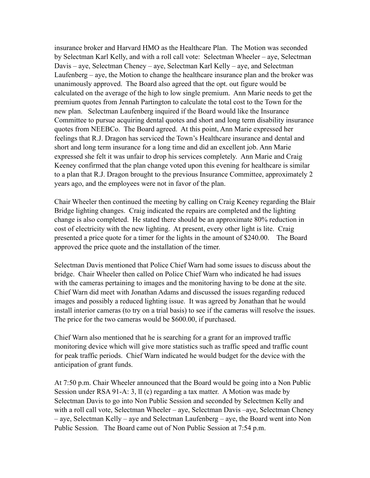insurance broker and Harvard HMO as the Healthcare Plan. The Motion was seconded by Selectman Karl Kelly, and with a roll call vote: Selectman Wheeler – aye, Selectman Davis – aye, Selectman Cheney – aye, Selectman Karl Kelly – aye, and Selectman Laufenberg – aye, the Motion to change the healthcare insurance plan and the broker was unanimously approved. The Board also agreed that the opt. out figure would be calculated on the average of the high to low single premium. Ann Marie needs to get the premium quotes from Jennah Partington to calculate the total cost to the Town for the new plan. Selectman Laufenberg inquired if the Board would like the Insurance Committee to pursue acquiring dental quotes and short and long term disability insurance quotes from NEEBCo. The Board agreed. At this point, Ann Marie expressed her feelings that R.J. Dragon has serviced the Town's Healthcare insurance and dental and short and long term insurance for a long time and did an excellent job. Ann Marie expressed she felt it was unfair to drop his services completely. Ann Marie and Craig Keeney confirmed that the plan change voted upon this evening for healthcare is similar to a plan that R.J. Dragon brought to the previous Insurance Committee, approximately 2 years ago, and the employees were not in favor of the plan.

Chair Wheeler then continued the meeting by calling on Craig Keeney regarding the Blair Bridge lighting changes. Craig indicated the repairs are completed and the lighting change is also completed. He stated there should be an approximate 80% reduction in cost of electricity with the new lighting. At present, every other light is lite. Craig presented a price quote for a timer for the lights in the amount of \$240.00. The Board approved the price quote and the installation of the timer.

Selectman Davis mentioned that Police Chief Warn had some issues to discuss about the bridge. Chair Wheeler then called on Police Chief Warn who indicated he had issues with the cameras pertaining to images and the monitoring having to be done at the site. Chief Warn did meet with Jonathan Adams and discussed the issues regarding reduced images and possibly a reduced lighting issue. It was agreed by Jonathan that he would install interior cameras (to try on a trial basis) to see if the cameras will resolve the issues. The price for the two cameras would be \$600.00, if purchased.

Chief Warn also mentioned that he is searching for a grant for an improved traffic monitoring device which will give more statistics such as traffic speed and traffic count for peak traffic periods. Chief Warn indicated he would budget for the device with the anticipation of grant funds.

At 7:50 p.m. Chair Wheeler announced that the Board would be going into a Non Public Session under RSA 91-A: 3, ll (c) regarding a tax matter. A Motion was made by Selectman Davis to go into Non Public Session and seconded by Selectmen Kelly and with a roll call vote, Selectman Wheeler – aye, Selectman Davis –aye, Selectman Cheney – aye, Selectman Kelly – aye and Selectman Laufenberg – aye, the Board went into Non Public Session. The Board came out of Non Public Session at 7:54 p.m.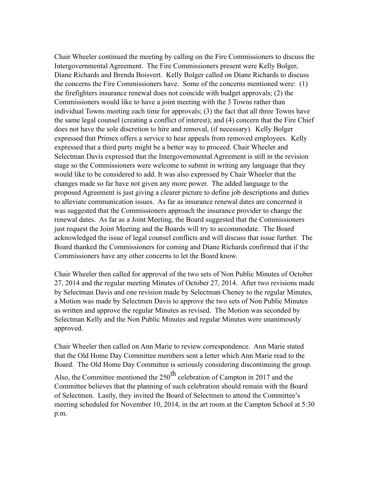Chair Wheeler continued the meeting by calling on the Fire Commissioners to discuss the Intergovernmental Agreement. The Fire Commissioners present were Kelly Bolger, Diane Richards and Brenda Boisvert. Kelly Bolger called on Diane Richards to discuss the concerns the Fire Commissioners have. Some of the concerns mentioned were: (1) the firefighters insurance renewal does not coincide with budget approvals; (2) the Commissioners would like to have a joint meeting with the 3 Towns rather than individual Towns meeting each time for approvals; (3) the fact that all three Towns have the same legal counsel (creating a conflict of interest); and (4) concern that the Fire Chief does not have the sole discretion to hire and removal, (if necessary). Kelly Bolger expressed that Primex offers a service to hear appeals from removed employees. Kelly expressed that a third party might be a better way to proceed. Chair Wheeler and Selectman Davis expressed that the Intergovernmental Agreement is still in the revision stage so the Commissioners were welcome to submit in writing any language that they would like to be considered to add. It was also expressed by Chair Wheeler that the changes made so far have not given any more power. The added language to the proposed Agreement is just giving a clearer picture to define job descriptions and duties to alleviate communication issues. As far as insurance renewal dates are concerned it was suggested that the Commissioners approach the insurance provider to change the renewal dates. As far as a Joint Meeting, the Board suggested that the Commissioners just request the Joint Meeting and the Boards will try to accommodate. The Board acknowledged the issue of legal counsel conflicts and will discuss that issue further. The Board thanked the Commissioners for coming and Diane Richards confirmed that if the Commissioners have any other concerns to let the Board know.

Chair Wheeler then called for approval of the two sets of Non Public Minutes of October 27, 2014 and the regular meeting Minutes of October 27, 2014. After two revisions made by Selectman Davis and one revision made by Selectman Cheney to the regular Minutes, a Motion was made by Selectmen Davis to approve the two sets of Non Public Minutes as written and approve the regular Minutes as revised. The Motion was seconded by Selectman Kelly and the Non Public Minutes and regular Minutes were unanimously approved.

Chair Wheeler then called on Ann Marie to review correspondence. Ann Marie stated that the Old Home Day Committee members sent a letter which Ann Marie read to the Board. The Old Home Day Committee is seriously considering discontinuing the group. Also, the Committee mentioned the  $250<sup>th</sup>$  celebration of Campton in 2017 and the Committee believes that the planning of such celebration should remain with the Board of Selectmen. Lastly, they invited the Board of Selectmen to attend the Committee's meeting scheduled for November 10, 2014, in the art room at the Campton School at 5:30 p.m.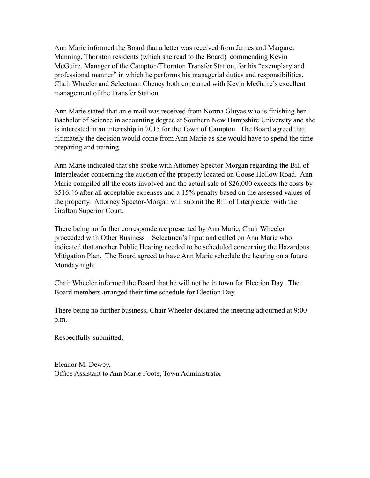Ann Marie informed the Board that a letter was received from James and Margaret Manning, Thornton residents (which she read to the Board) commending Kevin McGuire, Manager of the Campton/Thornton Transfer Station, for his "exemplary and professional manner" in which he performs his managerial duties and responsibilities. Chair Wheeler and Selectman Cheney both concurred with Kevin McGuire's excellent management of the Transfer Station.

Ann Marie stated that an e-mail was received from Norma Gluyas who is finishing her Bachelor of Science in accounting degree at Southern New Hampshire University and she is interested in an internship in 2015 for the Town of Campton. The Board agreed that ultimately the decision would come from Ann Marie as she would have to spend the time preparing and training.

Ann Marie indicated that she spoke with Attorney Spector-Morgan regarding the Bill of Interpleader concerning the auction of the property located on Goose Hollow Road. Ann Marie compiled all the costs involved and the actual sale of \$26,000 exceeds the costs by \$516.46 after all acceptable expenses and a 15% penalty based on the assessed values of the property. Attorney Spector-Morgan will submit the Bill of Interpleader with the Grafton Superior Court.

There being no further correspondence presented by Ann Marie, Chair Wheeler proceeded with Other Business – Selectmen's Input and called on Ann Marie who indicated that another Public Hearing needed to be scheduled concerning the Hazardous Mitigation Plan. The Board agreed to have Ann Marie schedule the hearing on a future Monday night.

Chair Wheeler informed the Board that he will not be in town for Election Day. The Board members arranged their time schedule for Election Day.

There being no further business, Chair Wheeler declared the meeting adjourned at 9:00 p.m.

Respectfully submitted,

Eleanor M. Dewey, Office Assistant to Ann Marie Foote, Town Administrator